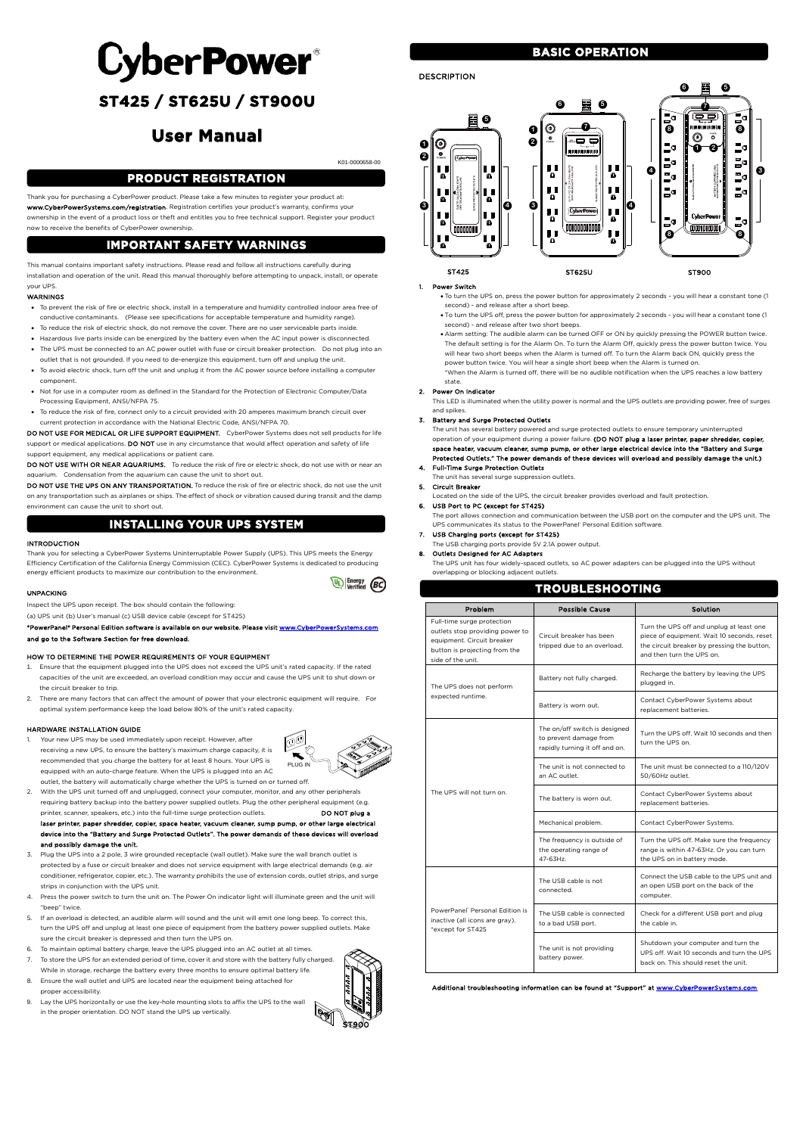

 $\mathbb{Q}$  Energy (BC)

# **CyberPower**®

# **ST425 / ST625U / ST900U**

# **User Manual**

### K01-0000658-00

Thank you for purchasing a CyberPower product. Please take a few minutes to register your product at: www.CyberPowerSystems.com/registration. Registration certifies your product's warranty, confirms your ownership in the event of a product loss or theft and entitles you to free technical support. Register your product now to receive the benefits of CyberPower ownership.

This manual contains important safety instructions. Please read and follow all instructions carefully during installation and operation of the unit. Read this manual thoroughly before attempting to unpack, install, or operate your UPS.

### WARNINGS

DO NOT USE FOR MEDICAL OR LIFE SUPPORT EQUIPMENT. CyberPower Systems does not sell products for life support or medical applications. DO NOT use in any circumstance that would affect operation and safety of life support equipment, any medical applications or patient care.

DO NOT USE WITH OR NEAR AQUARIUMS. To reduce the risk of fire or electric shock, do not use with or near an aquarium. Condensation from the aquarium can cause the unit to short out.

DO NOT USE THE UPS ON ANY TRANSPORTATION. To reduce the risk of fire or electric shock, do not use the unit on any transportation such as airplanes or ships. The effect of shock or vibration caused during transit and the damp environment can cause the unit to short out.

- To prevent the risk of fire or electric shock, install in a temperature and humidity controlled indoor area free of conductive contaminants. (Please see specifications for acceptable temperature and humidity range).
- To reduce the risk of electric shock, do not remove the cover. There are no user serviceable parts inside.
- Hazardous live parts inside can be energized by the battery even when the AC input power is disconnected.
- The UPS must be connected to an AC power outlet with fuse or circuit breaker protection. Do not plug into an outlet that is not grounded. If you need to de-energize this equipment, turn off and unplug the unit.
- To avoid electric shock, turn off the unit and unplug it from the AC power source before installing a computer component.
- Not for use in a computer room as defined in the Standard for the Protection of Electronic Computer/Data Processing Equipment, ANSI/NFPA 75.
- To reduce the risk of fire, connect only to a circuit provided with 20 amperes maximum branch circuit over current protection in accordance with the National Electric Code, ANSI/NFPA 70.

- 2. With the UPS unit turned off and unplugged, connect your computer, monitor, and any other peripherals requiring battery backup into the battery power supplied outlets. Plug the other peripheral equipment (e.g. printer, scanner, speakers, etc.) into the full-time surge protection outlets. **DO NOT plug a** laser printer, paper shredder, copier, space heater, vacuum cleaner, sump pump, or other large electrical device into the "Battery and Surge Protected Outlets". The power demands of these devices will overload and possibly damage the unit.
- Plug the UPS into a 2 pole, 3 wire grounded receptacle (wall outlet). Make sure the wall branch outlet is

### INTRODUCTION

Thank you for selecting a CyberPower Systems Uninterruptable Power Supply (UPS). This UPS meets the Energy Efficiency Certification of the California Energy Commission (CEC). CyberPower Systems is dedicated to producing energy efficient products to maximize our contribution to the environment.

### UNPACKING

Inspect the UPS upon receipt. The box should contain the following:

(a) UPS unit (b) User's manual (c) USB device cable (except for ST425)

- To turn the UPS on, press the power button for approximately 2 seconds you will hear a constant tone (1 second) - and release after a short beep.
- To turn the UPS off, press the power button for approximately 2 seconds you will hear a constant tone (1 second) - and release after two short beeps.
- Alarm setting: The audible alarm can be turned OFF or ON by quickly pressing the POWER button twice. The default setting is for the Alarm On. To turn the Alarm Off, quickly press the power button twice. You will hear two short beeps when the Alarm is turned off. To turn the Alarm back ON, quickly press the power button twice. You will hear a single short beep when the Alarm is turned on.
- \*When the Alarm is turned off, there will be no audible notification when the UPS reaches a low battery state

\*PowerPanel® Personal Edition software is available on our website. Please visi[t www.CyberPowerSystems.com](http://www.cyberpowersystems.com/)  and go to the Software Section for free download.

### HOW TO DETERMINE THE POWER REQUIREMENTS OF YOUR EQUIPMENT

- 1. Ensure that the equipment plugged into the UPS does not exceed the UPS unit's rated capacity. If the rated capacities of the unit are exceeded, an overload condition may occur and cause the UPS unit to shut down or the circuit breaker to trip.
- 2. There are many factors that can affect the amount of power that your electronic equipment will require. For optimal system performance keep the load below 80% of the unit's rated capacity.

### HARDWARE INSTALLATION GUIDE

1. Your new UPS may be used immediately upon receipt. However, after receiving a new UPS, to ensure the battery's maximum charge capacity, it is recommended that you charge the battery for at least 8 hours. Your UPS is equipped with an auto-charge feature. When the UPS is plugged into an AC outlet, the battery will automatically charge whether the UPS is turned on or turned off.



- protected by a fuse or circuit breaker and does not service equipment with large electrical demands (e.g. air conditioner, refrigerator, copier, etc.). The warranty prohibits the use of extension cords, outlet strips, and surge strips in conjunction with the UPS unit.
- 4. Press the power switch to turn the unit on. The Power On indicator light will illuminate green and the unit will "beep" twice.
- 5. If an overload is detected, an audible alarm will sound and the unit will emit one long beep. To correct this, turn the UPS off and unplug at least one piece of equipment from the battery power supplied outlets. Make sure the circuit breaker is depressed and then turn the UPS on.
- 6. To maintain optimal battery charge, leave the UPS plugged into an AC outlet at all times.
- To store the UPS for an extended period of time, cover it and store with the battery fully charged. While in storage, recharge the battery every three months to ensure optimal battery life.
- 8. Ensure the wall outlet and UPS are located near the equipment being attached for proper accessibility.
- 9. Lay the UPS horizontally or use the key-hole mounting slots to affix the UPS to the wall in the proper orientation. DO NOT stand the UPS up vertically.

### DESCRIPTION

### 1. Power Switch

### 2. Power On Indicator

This LED is illuminated when the utility power is normal and the UPS outlets are providing power, free of surges and spikes.

### 3. Battery and Surge Protected Outlets

The unit has several battery powered and surge protected outlets to ensure temporary uninterrupted operation of your equipment during a power failure. (DO NOT plug a laser printer, paper shredder, copier, space heater, vacuum cleaner, sump pump, or other large electrical device into the "Battery and Surge Protected Outlets." The power demands of these devices will overload and possibly damage the unit.) 4. Full-Time Surge Protection Outlets

The unit has several surge suppression outlets.

### 5. Circuit Breaker

Located on the side of the UPS, the circuit breaker provides overload and fault protection.

### 6. USB Port to PC (except for ST425)

- The port allows connection and communication between the USB port on the computer and the UPS unit. The UPS communicates its status to the PowerPanel® Personal Edition software
- 7. USB Charging ports (except for ST425)
	- The USB charging ports provide 5V 2.1A power output.

#### 8. Outlets Designed for AC Adapters

The UPS unit has four widely-spaced outlets, so AC power adapters can be plugged into the UPS without overlapping or blocking adjacent outlets.

| TROUBLESHOOTING                                                                                                                                   |                                                                                           |                                                                                                                                                                    |  |  |  |  |
|---------------------------------------------------------------------------------------------------------------------------------------------------|-------------------------------------------------------------------------------------------|--------------------------------------------------------------------------------------------------------------------------------------------------------------------|--|--|--|--|
| Problem                                                                                                                                           | <b>Possible Cause</b>                                                                     | Solution                                                                                                                                                           |  |  |  |  |
| Full-time surge protection<br>outlets stop providing power to<br>equipment. Circuit breaker<br>button is projecting from the<br>side of the unit. | Circuit breaker has been<br>tripped due to an overload.                                   | Turn the UPS off and unplug at least one<br>piece of equipment. Wait 10 seconds, reset<br>the circuit breaker by pressing the button,<br>and then turn the UPS on. |  |  |  |  |
| The UPS does not perform<br>expected runtime.                                                                                                     | Battery not fully charged.                                                                | Recharge the battery by leaving the UPS<br>plugged in.                                                                                                             |  |  |  |  |
|                                                                                                                                                   | Battery is worn out.                                                                      | Contact CyberPower Systems about<br>replacement batteries.                                                                                                         |  |  |  |  |
| The UPS will not turn on.                                                                                                                         | The on/off switch is designed<br>to prevent damage from<br>rapidly turning it off and on. | Turn the UPS off. Wait 10 seconds and then<br>turn the UPS on.                                                                                                     |  |  |  |  |
|                                                                                                                                                   | The unit is not connected to<br>an AC outlet.                                             | The unit must be connected to a 110/120V<br>50/60Hz outlet.                                                                                                        |  |  |  |  |
|                                                                                                                                                   | The battery is worn out.                                                                  | Contact CyberPower Systems about<br>replacement batteries.                                                                                                         |  |  |  |  |
|                                                                                                                                                   | Mechanical problem.                                                                       | Contact CyberPower Systems.                                                                                                                                        |  |  |  |  |
|                                                                                                                                                   | The frequency is outside of<br>the operating range of<br>47-63Hz.                         | Turn the UPS off. Make sure the frequency<br>range is within 47-63Hz. Or you can turn<br>the UPS on in battery mode.                                               |  |  |  |  |
| PowerPanel <sup>®</sup> Personal Edition is<br>inactive (all icons are gray).<br>*except for ST425                                                | The USB cable is not<br>connected.                                                        | Connect the USB cable to the UPS unit and<br>an open USB port on the back of the<br>computer.                                                                      |  |  |  |  |
|                                                                                                                                                   | The USB cable is connected<br>to a bad USB port.                                          | Check for a different USB port and plug<br>the cable in.                                                                                                           |  |  |  |  |
|                                                                                                                                                   | The unit is not providing<br>battery power.                                               | Shutdown your computer and turn the<br>UPS off. Wait 10 seconds and turn the UPS<br>back on. This should reset the unit.                                           |  |  |  |  |

#### Additional troubleshooting information can be found at "Support" a[t www.CyberPowerSystems.com](http://www.cyberpowersystems.com/)

### **BASIC OPERATION**

### **INSTALLING YOUR UPS SYSTEM**

### **IMPORTANT SAFETY WARNINGS**

### **PRODUCT REGISTRATION**